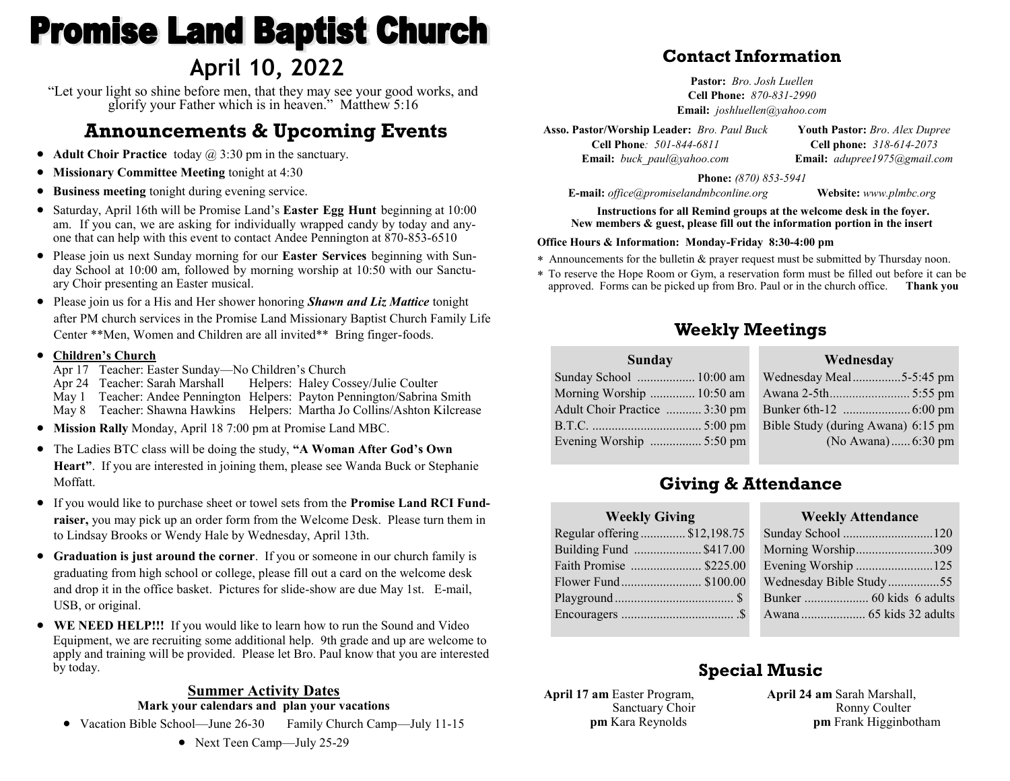# **Promise Land Baptist Church April 10, 2022**

"Let your light so shine before men, that they may see your good works, and glorify your Father which is in heaven." Matthew 5:16

# **Announcements & Upcoming Events**

- **Adult Choir Practice** today @ 3:30 pm in the sanctuary.
- **Missionary Committee Meeting** tonight at 4:30
- **Business meeting** tonight during evening service.
- Saturday, April 16th will be Promise Land's **Easter Egg Hunt** beginning at 10:00 am. If you can, we are asking for individually wrapped candy by today and anyone that can help with this event to contact Andee Pennington at 870-853-6510
- Please join us next Sunday morning for our **Easter Services** beginning with Sunday School at 10:00 am, followed by morning worship at 10:50 with our Sanctuary Choir presenting an Easter musical.
- Please join us for a His and Her shower honoring *Shawn and Liz Mattice* tonight after PM church services in the Promise Land Missionary Baptist Church Family Life Center \*\*Men, Women and Children are all invited\*\* Bring finger-foods.

#### • **Children's Church**

Apr 17 Teacher: Easter Sunday—No Children's Church

Apr 24 Teacher: Sarah Marshall Helpers: Haley Cossey/Julie Coulter

May 1 Teacher: Andee Pennington Helpers: Payton Pennington/Sabrina Smith

May 8 Teacher: Shawna Hawkins Helpers: Martha Jo Collins/Ashton Kilcrease

- **Mission Rally** Monday, April 18 7:00 pm at Promise Land MBC.
- The Ladies BTC class will be doing the study, **"A Woman After God's Own Heart"**. If you are interested in joining them, please see Wanda Buck or Stephanie Moffatt.
- If you would like to purchase sheet or towel sets from the **Promise Land RCI Fundraiser,** you may pick up an order form from the Welcome Desk. Please turn them in to Lindsay Brooks or Wendy Hale by Wednesday, April 13th.
- **Graduation is just around the corner**. If you or someone in our church family is graduating from high school or college, please fill out a card on the welcome desk and drop it in the office basket. Pictures for slide-show are due May 1st. E-mail, USB, or original.
- **WE NEED HELP!!!** If you would like to learn how to run the Sound and Video Equipment, we are recruiting some additional help. 9th grade and up are welcome to apply and training will be provided. Please let Bro. Paul know that you are interested by today.

#### **Summer Activity Dates Mark your calendars and plan your vacations**

• Vacation Bible School—June 26-30 Family Church Camp—July 11-15

## **Contact Information**

**Pastor:** *Bro. Josh Luellen* **Cell Phone:** *870-831-2990* **Email:** *joshluellen@yahoo.com* 

**Asso. Pastor/Worship Leader:** *Bro. Paul Buck* **Cell Phone***: 501-844-6811* **Email:** *buck\_paul@yahoo.com* **Youth Pastor:** *Bro*. *Alex Dupree* **Cell phone:** *318-614-2073* **Email:** *adupree1975@gmail.com*

**Phone:** *(870) 853-5941*

**E-mail:** *office@promiselandmbconline.org* **Website:** *www.plmbc.org*

**Instructions for all Remind groups at the welcome desk in the foyer. New members & guest, please fill out the information portion in the insert**

#### **Office Hours & Information: Monday-Friday 8:30-4:00 pm**

- Announcements for the bulletin & prayer request must be submitted by Thursday noon.
- To reserve the Hope Room or Gym, a reservation form must be filled out before it can be approved. Forms can be picked up from Bro. Paul or in the church office. **Thank you**

### **Weekly Meetings**

# **Wednesday**

| Sunday School  10:00 am       |
|-------------------------------|
| Morning Worship  10:50 am     |
| Adult Choir Practice  3:30 pm |
|                               |
| Evening Worship  5:50 pm      |

**Sunday**

| <i>v</i> veunesuav                 |  |  |  |
|------------------------------------|--|--|--|
| Wednesday Meal5-5:45 pm            |  |  |  |
|                                    |  |  |  |
|                                    |  |  |  |
| Bible Study (during Awana) 6:15 pm |  |  |  |
| (No Awana) 6:30 pm                 |  |  |  |
|                                    |  |  |  |

## **Giving & Attendance**

| <b>Weekly Giving</b>         |  |
|------------------------------|--|
| Regular offering \$12,198.75 |  |
| Building Fund \$417.00       |  |
| Faith Promise  \$225.00      |  |
| Flower Fund \$100.00         |  |
|                              |  |
|                              |  |
|                              |  |

#### **Weekly Attendance** Sunday School ............................120 Morning Worship........................309

| Evening Worship 125     |  |
|-------------------------|--|
| Wednesday Bible Study55 |  |
|                         |  |
|                         |  |

# **Special Music**

**April 17 am** Easter Program, Sanctuary Choir  **pm** Kara Reynolds

**April 24 am** Sarah Marshall, Ronny Coulter  **pm** Frank Higginbotham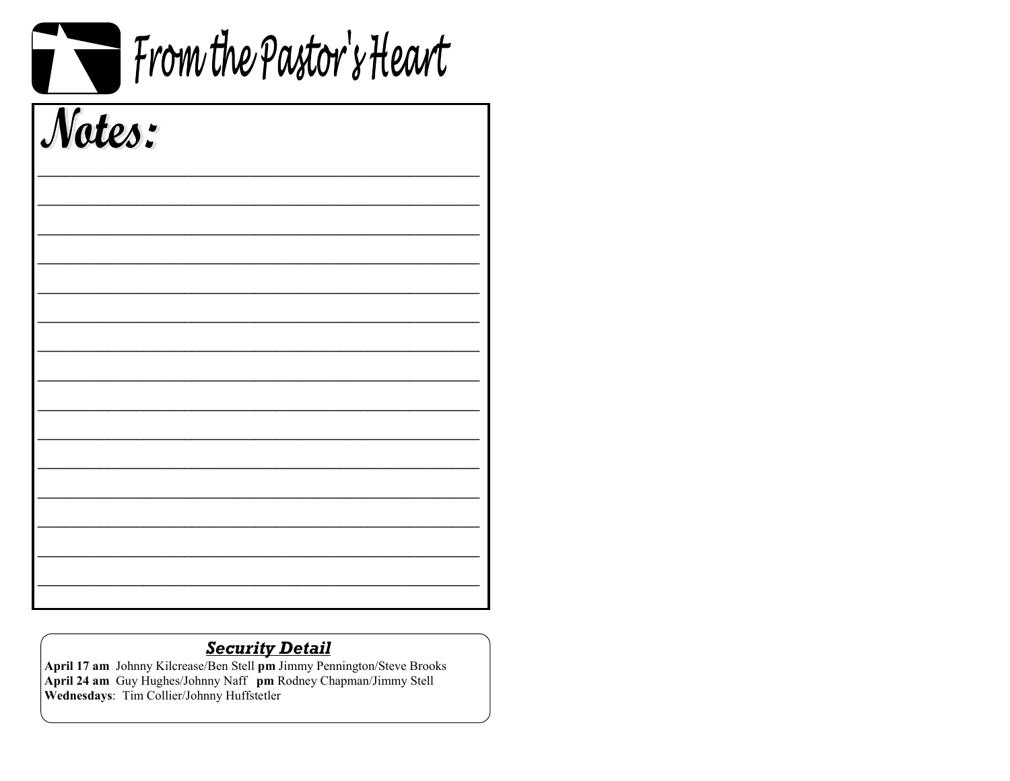| From the Pastor's Heart |  |  |
|-------------------------|--|--|
| Notes:                  |  |  |
|                         |  |  |
|                         |  |  |
|                         |  |  |
|                         |  |  |
|                         |  |  |
|                         |  |  |

 $\blacksquare$ 

Security Detail<br>April 17 am Johnny Kilcrease/Ben Stell pm Jimmy Pennington/Steve Brooks<br>April 24 am Guy Hughes/Johnny Naff pm Rodney Chapman/Jimmy Stell<br>Wednesdays: Tim Collier/Johnny Huffstetler